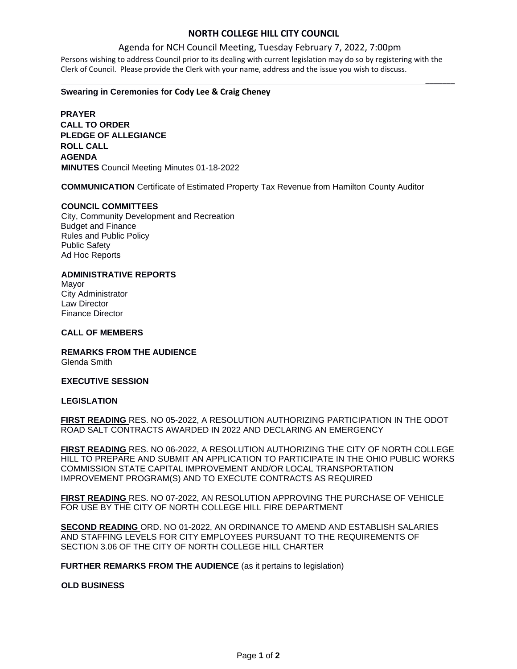## **NORTH COLLEGE HILL CITY COUNCIL**

 $\mathcal{L}$ 

### Agenda for NCH Council Meeting, Tuesday February 7, 2022, 7:00pm

Persons wishing to address Council prior to its dealing with current legislation may do so by registering with the Clerk of Council. Please provide the Clerk with your name, address and the issue you wish to discuss.

#### **Swearing in Ceremonies for Cody Lee & Craig Cheney**

**PRAYER CALL TO ORDER PLEDGE OF ALLEGIANCE ROLL CALL AGENDA MINUTES** Council Meeting Minutes 01-18-2022

**COMMUNICATION** Certificate of Estimated Property Tax Revenue from Hamilton County Auditor

#### **COUNCIL COMMITTEES**

City, Community Development and Recreation Budget and Finance Rules and Public Policy Public Safety Ad Hoc Reports

#### **ADMINISTRATIVE REPORTS**

Mayor City Administrator Law Director Finance Director

#### **CALL OF MEMBERS**

**REMARKS FROM THE AUDIENCE** Glenda Smith

#### **EXECUTIVE SESSION**

#### **LEGISLATION**

**FIRST READING** RES. NO 05-2022, A RESOLUTION AUTHORIZING PARTICIPATION IN THE ODOT ROAD SALT CONTRACTS AWARDED IN 2022 AND DECLARING AN EMERGENCY

**FIRST READING** RES. NO 06-2022, A RESOLUTION AUTHORIZING THE CITY OF NORTH COLLEGE HILL TO PREPARE AND SUBMIT AN APPLICATION TO PARTICIPATE IN THE OHIO PUBLIC WORKS COMMISSION STATE CAPITAL IMPROVEMENT AND/OR LOCAL TRANSPORTATION IMPROVEMENT PROGRAM(S) AND TO EXECUTE CONTRACTS AS REQUIRED

**FIRST READING** RES. NO 07-2022, AN RESOLUTION APPROVING THE PURCHASE OF VEHICLE FOR USE BY THE CITY OF NORTH COLLEGE HILL FIRE DEPARTMENT

**SECOND READING** ORD. NO 01-2022, AN ORDINANCE TO AMEND AND ESTABLISH SALARIES AND STAFFING LEVELS FOR CITY EMPLOYEES PURSUANT TO THE REQUIREMENTS OF SECTION 3.06 OF THE CITY OF NORTH COLLEGE HILL CHARTER

**FURTHER REMARKS FROM THE AUDIENCE** (as it pertains to legislation)

### **OLD BUSINESS**